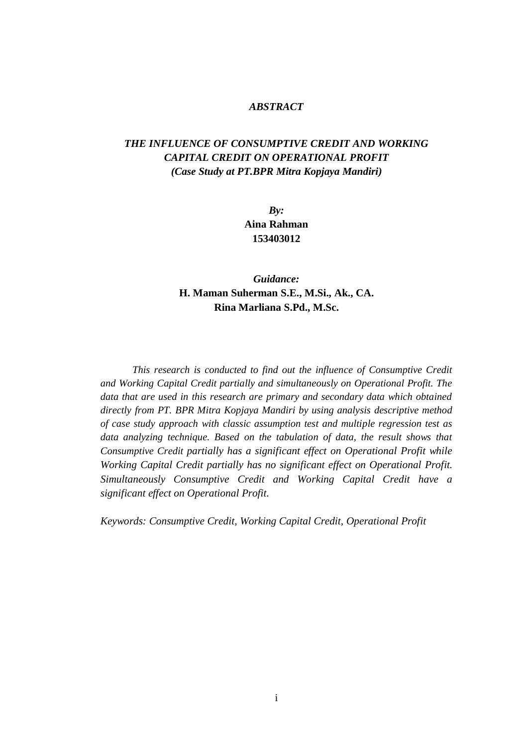### *ABSTRACT*

# *THE INFLUENCE OF CONSUMPTIVE CREDIT AND WORKING CAPITAL CREDIT ON OPERATIONAL PROFIT (Case Study at PT.BPR Mitra Kopjaya Mandiri)*

*By:* **Aina Rahman 153403012**

# *Guidance:* **H. Maman Suherman S.E., M.Si., Ak., CA. Rina Marliana S.Pd., M.Sc.**

*This research is conducted to find out the influence of Consumptive Credit and Working Capital Credit partially and simultaneously on Operational Profit. The data that are used in this research are primary and secondary data which obtained directly from PT. BPR Mitra Kopjaya Mandiri by using analysis descriptive method of case study approach with classic assumption test and multiple regression test as data analyzing technique. Based on the tabulation of data, the result shows that Consumptive Credit partially has a significant effect on Operational Profit while Working Capital Credit partially has no significant effect on Operational Profit. Simultaneously Consumptive Credit and Working Capital Credit have a significant effect on Operational Profit.*

*Keywords: Consumptive Credit, Working Capital Credit, Operational Profit*